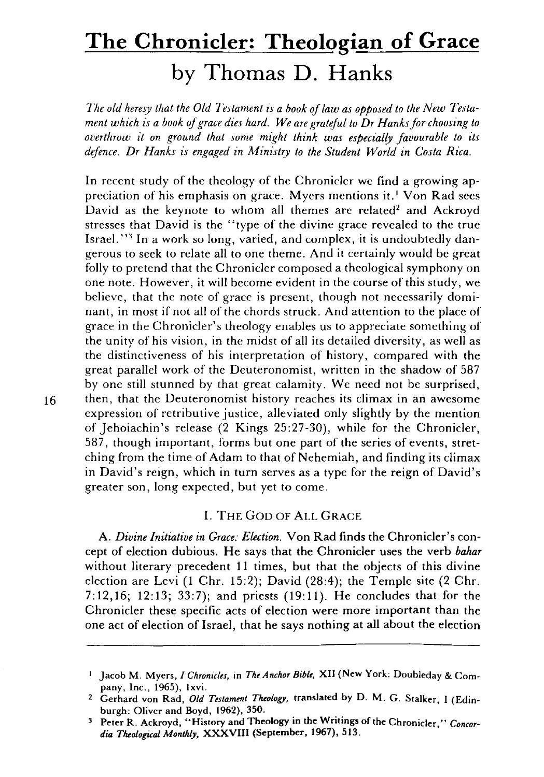# **The Chronicler: Theologian of Grace by Thomas D. Hanks**

*The old heresy that the Old Testament is a book of law as opposed to the New Testament which is a book of grace dies hard. We are grateful to Dr Hanksfor choosing to overthrow it on ground that some might think was especially favourable to its defence. Dr Hanks is engaged in Ministry to the Student World in Costa Rica.* 

In recent study of the theology of the Chronicler we find a growing appreciation of his emphasis on grace. Myers mentions it.<sup>1</sup> Von Rad sees David as the keynote to whom all themes are related<sup>2</sup> and Ackroyd stresses that David is the "type of the divine grace revealed to the true Israel."<sup>3</sup> In a work so long, varied, and complex, it is undoubtedly dangerous to seek to relate all to one theme. And it certainly would be great folly to pretend that the Chronicler composed a theological symphony on one note. However, it will become evident in the course of this study, we believe, that the note of grace is present, though not necessarily dominant, in most if not all of the chords struck. And attention to the place of grace in the Chronicler's theology enables us to appreciate something of the unity of his vision, in the midst of all its detailed diversity, as well as the distinctiveness of his interpretation of history, compared with the great parallel work of the Deuteronomist, written in the shadow of 587 by one still stunned by that great calamity. We need not be surprised, 16 then, that the Deuteronomist history reaches its climax in an awesome expression of retributive justice, alleviated only slightly by the mention of Jehoiachin's release (2 Kings 25:27-30), while for the Chronicler, 587, though important, forms but one part of the series of events, stretching from the time of Adam to that of Nehemiah, and finding its climax in David's reign, which in turn serves as a type for the reign of David's greater son, long expected, but yet to come.

# I. THE GOD OF ALL GRACE

A. *Divine Initiative in Grace: Election.* Von Rad finds the Chronicler's concept of election dubious. He says that the Chronicler uses the verb *bahar*  without literary precedent 11 times, but that the objects of this divine election are Levi (1 Chr. 15:2); David (28:4); the Temple site (2 Chr. 7:12,16; 12:13; 33:7); and priests (19:11). He concludes that for the Chronicler these specific acts of election were more important than the one act of election of Israel, that he says nothing at all about the election

J Jacob M. Myers, J *Chronicles,* in *The Anchor Bihlt,* XII (New York: Doubleday & Company, Inc., 1965), Ixvi.

<sup>2</sup> Gerhard von Rad, *Old Testament Theology,* translated by D. M. G. Stalker, I (Edinburgh: Oliver and Boyd, 1962), 350.

<sup>3</sup> Peter R. Ackroyd, "History and Theology in the Writings of the Chronicler," *Concor*dia Theological Monthly, XXXVIII (September, 1967), 513.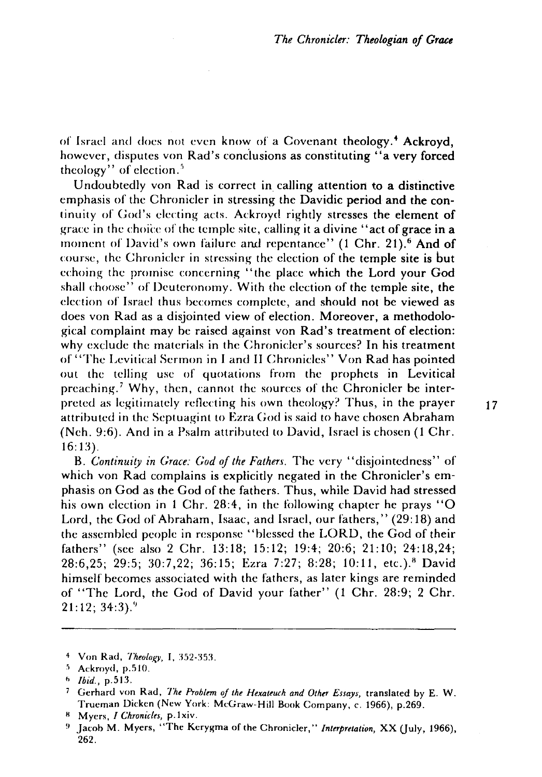of Israel and does not even know of a Covenant theology.<sup>4</sup> Ackroyd, however, disputes von Rad's conclusions as constituting "a very forced theology" of election. $5$ 

Undoubtedly von Rad is correct in calling attention to a distinctive emphasis of the Chronicler in stressing the Davidic period and the continuity of God's electing acts. Ackroyd rightly stresses the element of grace in the choice of the temple site, calling it a divine "act of grace in a moment of David's own failure and repentance"  $(1 \text{ Chr. } 21)$ .<sup>6</sup> And of course, the Chronicler in stressing the election of the temple site is but echoing the promise concerning "the place which the Lord your God shall choose" of Deuteronomy. With the election of the temple site, the election of Israel thus becomes complete, and should not be viewed as does von Rad as a disjointed view of election. Moreover, a methodological complaint may be raised against von Rad's treatment of election: why exclude the materials in the Chronicler's sources? In his treatment of "The Levitical Sermon in I and 11 Chronicles" Von Rad has pointed out the telling use of quotations from the prophets in Levitical preaching.<sup>7</sup> Why, then, cannot the sources of the Chronicler be interpreted as legitimately reflecting his own theology? Thus, in the prayer  $17$ attributed in the Septuagint to Ezra God is said to have chosen Abraham (Neh. 9:6). And in a Psalm attributed to David, Israel is chosen (1 Chr. 16: 13).

B. *Continuity in Grace: God of the Fathen.* The very "disjointedness" of which von Rad complains is explicitly negated in the Chronicler's emphasis on God as the God of the fathers. Thus, while David had stressed his own election in 1 Chr. 28:4, in the following chapter he prays "O Lord, the God of Abraham, Isaac, and Israel, our fathers," (29:18) and the assembled people in response "blessed the LORD, the God of their fathers" (sce also 2 Chr. 13:18; 15:12; 19:4; 20:6; 21:10; 24:18,24; 28:6,25; 29:5; 30:7,22; 36:15; Ezra 7:27; 8:28; 10:11, etc.)." David himself becomes associated with the fathers, as later kings are reminded of "The Lord, the God of David your father" (1 Chr. 28:9; 2 Chr. 21:12; 34:3)."

<sup>8</sup> Myers, *I Chronicles*, p.1xiv.

<sup>4</sup> Von Rad, *Theology*, I. 352-353.

<sup>&#</sup>x27;) Ackroyd, p.51O.

h *Ibid.,* p.513.

<sup>7</sup> Gerhard von Rad, *The Problem of the Hexateuch and Other Essays,* translated by E. W. Trueman Dicken (New York: McGraw-Hill Book Company, c. 1966), p.269.

Jacob M. Myers, "The Kerygma of the Chronicler," *Interpretation, XX* (July, 1966), 262.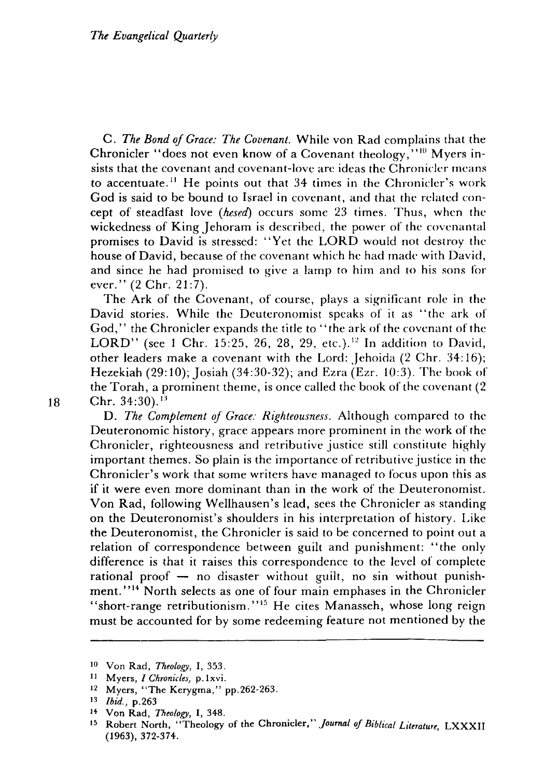C. *The Bond of Grace: The Covenant.* While von Rad complains that the Chronicler "does not even know of a Covenant theology,"  $10^{\circ}$  Myers insists that the covenant and covenant-love are ideas the Chronicler means to accentuate. 11 He points out that 34 times in the Chronicler's work God is said to be bound to Israel in covenant, and that the related concept of steadfast love *(hesed)* occurs some 23 times. Thus, when the wickedness of King Jehoram is described, the power of the covenantal promises to David is stressed: "Yet the LORD would not destroy the house of David, because of the covenant which he had made with David, and since he had promised to give a lamp to him and to his sons for ever." (2 Chr. 21:7).

The Ark of the Covenant, of course, plays a significant role in the David stories. While the Deuteronomist speaks of it as "the ark of God," the Chronicler expands the title to "the ark of the covenant of the LORD" (see 1 Chr. 15:25, 26, 28, 29, etc.).<sup>12</sup> In addition to David, other leaders make a covenant with the Lord: Jehoida (2 Chr. 34: 16); Hezekiah (29: 10); Josiah (34:30-32); and Ezra (Ezr. 10:3). The book of the Torah, a prominent theme, is once called the book of the covenant (2 18 Chr.  $34:30$ .<sup>13</sup>

D. *The Complement of Grace: Righteousness.* Although compared to the Deuteronomic history, grace appears more prominent in the work of the Chronicler, righteousness and retributive justice still constitute highly important themes. So plain is the importance of retributive justice in the Chronicler's work that some writers have managed to focus upon this as if it were even more dominant than in the work of the Deuteronomist. Von Rad, following Wellhausen's lead, sees the Chronicler as standing on the Deuteronomist's shoulders in his interpretation of history. Like the Deuteronomist, the Chronicler is said to be eoncerned to point out a relation of correspondence between guilt and punishment: "the only difference is that it raises this correspondence to the level of complete rational proof  $-$  no disaster without guilt, no sin without punishment."<sup>14</sup> North selects as one of four main emphases in the Chronicler "short-range retributionism."15 He cites Manasseh, whose long reign must be accounted for by some redeeming feature not mentioned by the

<sup>10</sup> Von Rad, *Theology,* I, 353.

<sup>11</sup> Myers, *I Chronicles,* p.lxvi.

<sup>12</sup> Myers, "The Kerygma," pp.262-263.

<sup>13</sup> *Ibid.,* p.263

<sup>14</sup> Von Rad, *Theology,* I, 348.

<sup>15</sup> Robert North, "Theology of the Chronicler," *Journal oj Biblical Literature,* LXXXII (1963), 372-374.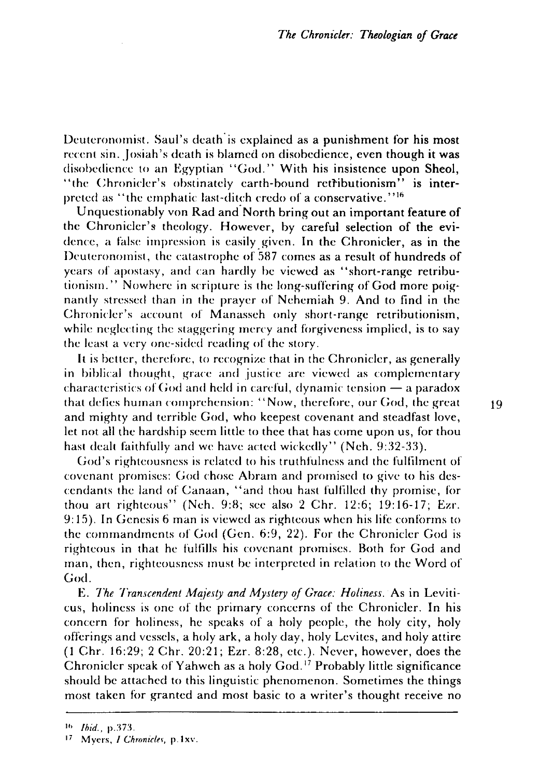Deuteronomist. Saul's death is explained as a punishment for his most recent sin. Josiah's death is blamed on disobedience, even though it was disobedience to an Egyptian "God." With his insistence upon Sheol, "the Chronicler's obstinately earth-bound retributionism" is interpreted as "the emphatic last-ditch credo of a conservative."<sup>16</sup>

Unquestionably von Rad and' North bring out an important feature of the Chronicler's theology. However, by careful selection of the evidence, a false impression is easily. given. In the Chronicler, as in the Deuteronomist, the catastrophe of 587 comes as a result of hundreds of years of apostasy, and can hardly be viewed as "short-range retributionism." Nowhere in scripture is the long-suffering of God more poignantly stressed than in the prayer of Nehemiah 9. And to find in the Chronicler's account of Manasseh only short-range retributionism, while neglecting the staggering mercy and forgiveness implied, is to say the least a very one-sided reading of the story.

It is better, therefore, to recognize that in the Chronicler, as generally in biblical thought, grace and justice are viewed as complementary characteristics of God and held in careful, dynamic tension  $-$  a paradox that defies human comprehension: "Now, therefore, our God, the great  $19$ and mighty and terrible God, who keepest covenant and steadfast love, let not all the hardship seem little to thee that has come upon us, for thou hast dealt faithfully and we have acted wickedly" (Neh. 9:32-33).

God's righteousness is related to his truthfulness and the fultilment of covenant promises: God chose Abram and promised to give to his descendants the land of Canaan, "and thou hast fultilled thy promise, for thou art righteous" (Neh. 9:8; sce also 2 Chr. 12:6; 19:16-17; Ezr. 9: 15). In Genesis 6 man is viewed as righteous when his life conforms to the commandments of God (Gen. 6:9, 22). For the Chronicler God is righteous in that he fulfills his covenant promises. Both for God and man, then, righteousness must be interpreted in relation to the Word of God.

E. *The Transcendent Majesty and Mystery of Grace: Holiness.* As in Leviticus, holiness is onc of the primary concerns of the Chronicler. In his concern for holiness, he speaks of a holy people, the holy city, holy offerings and vessels, a holy ark, a holy day, holy Levites, and holy attire (1 Chr. 16:29; 2 Chr. 20:21; Ezr. 8:28, etc.). Never, however, does the Chronicler speak of Yahweh as a holy  $God<sup>17</sup>$  Probably little significance should be attached to this linguistic phenomenon. Sometimes the things most taken for granted and most basic to a writer's thought receive no

<sup>16</sup> *Ibid., p.373.* 

<sup>17</sup> Myers, *I Chronicles*, p.1xv.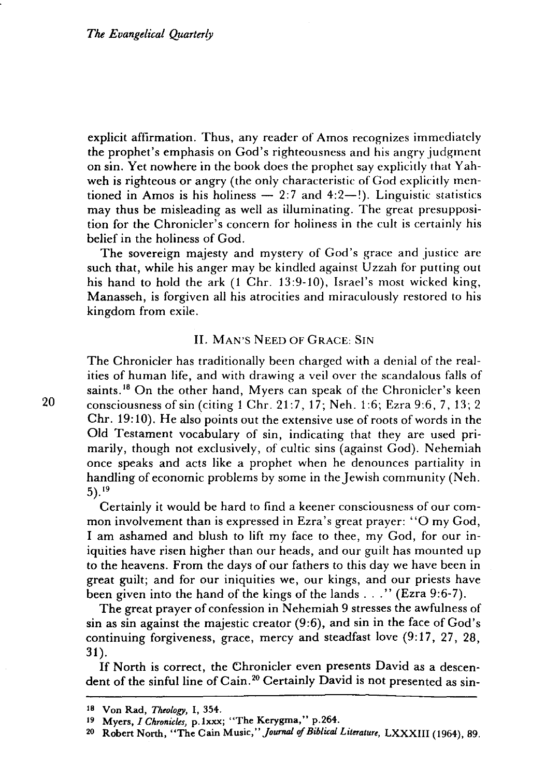explicit affirmation. Thus, any reader of Amos recognizes immediately the prophet's emphasis on God's righteousness and his angry judgment on sin. Yet nowhere in the book does the prophet say explicitly that Yahweh is righteous or angry (the only characteristic of God explicitly mentioned in Amos is his holiness  $-2:7$  and  $4:2-$ !). Linguistic statistics may thus be misleading as well as illuminating. The great presupposition for the Chronicler's concern for holiness in the cult is certainly his belief in the holiness of God.

The sovereign majesty and mystery of God's grace and justice are such that, while his anger may be kindled against Uzzah for putting out his hand to hold the ark (1 Chr. 13:9-10), Israel's most wicked king, Manasseh, is forgiven all his atrocities and miraculously restored to his kingdom from exile.

### II. MAN'S NEED OF GRACE: SIN

The Chronicler has traditionally been charged with a denial of the realities of human life, and with drawing a veil over the scandalous falls of saints.<sup>18</sup> On the other hand, Myers can speak of the Chronicler's keen 20 consciousness of sin (citing 1 Chr. 21:7, 17; Neh. 1:6; Ezra 9:6, 7, 13; 2 Chr. 19: 10). He also points out the extensive use of roots of words in the Old Testament vocabulary of sin, indicating that they are used primarily, though not exclusively, of cultic sins (against God). Nehemiah once speaks and acts like a prophet when he denounces partiality in handling of economic problems by some in the Jewish community (Neh. 5).19

Certainly it would be hard to find a keener consciousness of our common involvement than is expressed in Ezra's great prayer: "0 my God, I am ashamed and blush to lift my face to thee, my God, for our iniquities have risen higher than our heads, and our guilt has mounted up to the heavens. From the days of our fathers to this day we have been in great guilt; and for our iniquities we, our kings, and our priests have been given into the hand of the kings of the lands . . ." (Ezra 9:6-7).

The great prayer of confession in Nehemiah 9 stresses the awfulness of sin as sin against the majestic creator (9:6), and sin in the face of God's continuing forgiveness, grace, mercy and steadfast love  $(9:17, 27, 28, ...)$ 31 ).

If North is correct, the Ehronicler even presents David as a descendent of the sinful line of Cain.<sup>20</sup> Certainly David is not presented as sin-

<sup>18</sup> Von Rad, *Theology,* I, 354.

<sup>19</sup> Myers, *I Chronicles,* p.lxxx; "The Kerygrna," p.264.

<sup>&</sup>lt;sup>20</sup> Robert North, "The Cain Music," *Journal of Biblical Literature*, LXXXIII (1964), 89.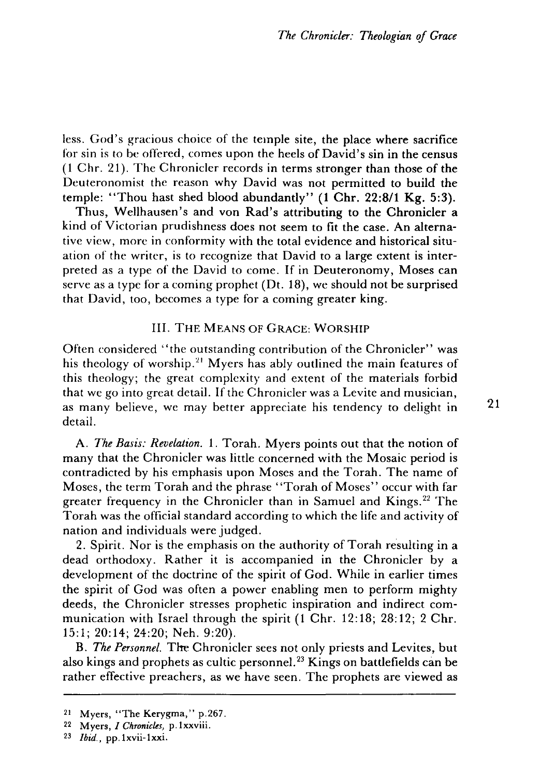less. God's gracious choice of the temple site, the place where sacrifice for sin is to be offered, comes upon the heels of David's sin in the census (1 Chr. 21). The Chronicler records in terms stronger than those of the Deuteronomist the reason why David was not permitted to build the temple: "Thou hast shed blood abundantly" (1 Chr. 22:8/1 Kg. 5:3).

Thus, Wellhausen's and von Rad's attributing to the Chronicler a kind of Victorian prudishness does not seem to fit the case. An alternative view, more in conformity with the total evidence and historical situation of the writer, is to recognize that David to a large extent is interpreted as a type of the David to come. If in Deuteronomy, Moses can serve as a type for a coming prophet (Dt. 18), we should not be surprised that David, too, becomes a type for a coming greater king.

#### Ill. THE MEANS OF GRACE: WORSHIP

Often considered "the outstanding contribution of the Chronicler" was his theology of worship.<sup>21</sup> Myers has ably outlined the main features of this theology; the great complexity and extent of the materials forbid that we go into great detail. If the Chronicler was a Levite and musician, as many believe, we may better appreciate his tendency to delight in detail.

A. *The Basis: Revelation.* 1. Torah. Myers points out that the notion of many that the Chronicler was little concerned with the Mosaic period is contradicted by his emphasis upon Moses and the Torah. The name of Moses, the term Torah and the phrase "Torah of Moses" occur with far greater frequency in the Chronicler than in Samuel and Kings. 22 The Torah was the official standard according to which the life and activity of nation and individuals were judged.

2. Spirit. Nor is the emphasis on the authority of Torah resulting in a dead orthodoxy. Rather it is accompanied in the Chronicler by a development of the doctrine of the spirit of God. While in earlier times the spirit of God was often a power enabling men to perform mighty deeds, the Chronicler stresses prophetic inspiration and indirect communication with Israel through the spirit (1 Chr. 12:18; 28:12; 2 Chr. 15:1; 20:14; 24:20; Neh. 9:20).

B. *The Personnel.* Tire Chronicler sees not only priests and Levites, but also kings and prophets as cultic personnel. 23 Kings on battlefields can be rather effective preachers, as we have seen. The prophets are viewed as 21

<sup>21</sup> Myers, "The Kerygma," p.267.

<sup>22</sup> Myers, *I Chronicles,* p.lxxviii.

<sup>23</sup> *Ibid.,* pp.lxvii-lxxi.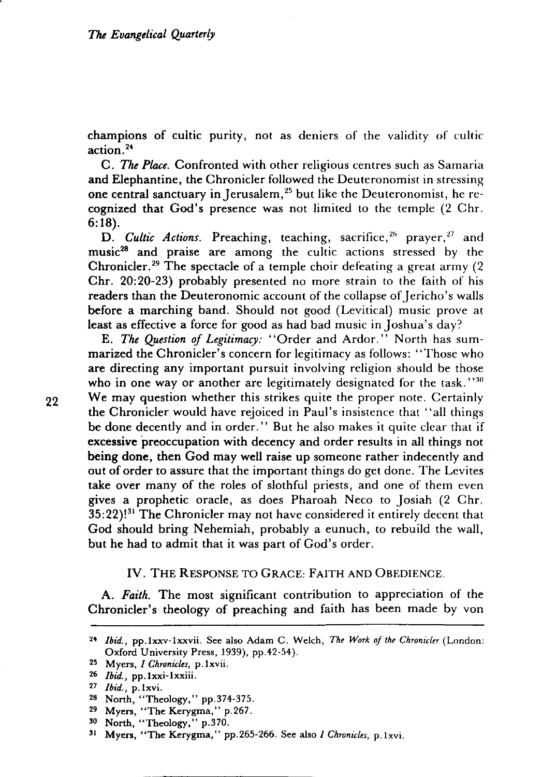champions of cultic purity, not as deniers of the validity of cuitic action. <sup>24</sup>

C. *The Place.* Confronted with other religious centres such as Samaria and Elephantine, the Chronicler followed the Deuteronomist in stressing one central sanctuary in Jerusalem,  $25$  but like the Deuteronomist, he recognized that God's presence was not limited to the temple (2 Chr. 6:18).

D. *Cultic Actions.* Preaching, teaching, sacrifice,<sup>26</sup> prayer,<sup>27</sup> and music<sup>28</sup> and praise are among the cultic actions stressed by the Chronicler.<sup>29</sup> The spectacle of a temple choir defeating a great army  $(2)$ Chr. 20:20-23) probably presented no more strain to the faith of his readers than the Deuteronomic account of the collapse of Iericho's walls before a marching band. Should not good (Levitical) music prove at least as effective a force for good as had bad music in Joshua's day?

E. *The Question of Legitimacy:* "Order and Ardor." North has summarized the Chronicler's concern for legitimacy as follows: "Those who are directing any important pursuit involving religion should be those who in one way or another are legitimately designated for the task." $30$ 22 We may question whether this strikes quite the proper note. Certainly the Chronicler would have rejoiced in Paul's insistence that "all things be done decently and in order." But he also makes it quite clear that if excessive preoccupation with decency and order results in all things not being done, then God may well raise up someone rather indecently and out of order to assure that the important things do get done. The Levites take over many of the roles of slothful priests, and one of them even gives a prophetic oracle, as does Pharoah Neco to Josiah (2 Chr.  $35:22$ !<sup>31</sup> The Chronicler may not have considered it entirely decent that God should bring Nehemiah, probably a eunuch, to rebuild the wall, but he had to admit that it was part of God's order.

#### IV. THE RESPONSE TO GRACE: FAITH AND OBEDIENCE.

A. *Faith.* The most significant contribution to appreciation of the Chronicler's theology of preaching and faith has been made by von

<sup>~.</sup> *Ibid.,* pp.lxxv-lxxvii. See also Adam C. Welch, *The Work of the Chronicler* (London: Oxford University Press, 1939), pp.42-54).

<sup>25</sup> Myers, *I Chronicles,* p.lxvii.

*<sup>26</sup> Ibid.,* pp.lxxi-lxxiii.

<sup>27</sup>*Ibid.,* p.lxvi.

<sup>28</sup> North, "Theology," pp.374-375.

<sup>29</sup> Myers, "The Kerygma," p.267.

<sup>30</sup> North, "Theology," p.370.

<sup>31</sup> Myers, "The Kerygma," pp.265-266. See also *I Chronicles,* p.lxvi.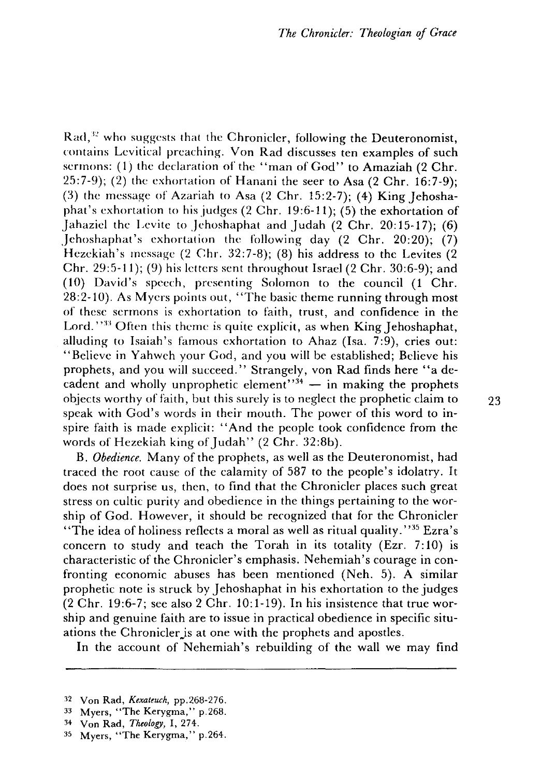$Rad<sup>32</sup>$  who suggests that the Chronicler, following the Deuteronomist, contains Levitical preaching. Von Rad discusses ten examples of such sermons: (1) the declaration of the "man of God" to Amaziah (2 Chr. 25:7-9); (2) the exhortation of Hanani the seer to Asa (2 Chr. 16:7-9); (3) the message of Azariah to Asa (2 Chr. 15:2-7); (4) King Jehoshaphat's exhortation to his judges (2 Chr. 19:6-11); (5) the exhortation of Jahaziel the Levite to Jehoshaphat and Judah  $(2 \text{ Chr. } 20:15-17)$ ; (6) Jehoshaphat's exhortation the following day  $(2 \text{ Chr. } 20:20)$ ;  $(7)$ Hezekiah's message (2 Chr. 32:7-8); (8) his address to the Levites (2 Chr. 29:5-11); (9) his letters sent throughout Israel (2 Chr. 30:6-9); and (10) David's speech, presenting Solomon to the council (1 Chr. 28:2-10). As Myers points out, "The basic theme running through most of these sermons is exhortation to faith, trust, and confidence in the Lord.  $133$  Often this theme is quite explicit, as when King Jehoshaphat, alluding to Isaiah's famous exhortation to Ahaz (Isa. 7:9), cries out: "Believe in Yahweh your God, and you will be established; Believe his prophets, and you will succeed." Strangely, von Rad finds here "a decadent and wholly unprophetic element": $\frac{1}{4}$  - in making the prophets objects worthy of faith, but this surely is to neglect the prophetic claim to 23 speak with God's words in their mouth. The power of this word to inspire faith is made explicit: "And the people took confidence from the words of Hezekiah king of Judah" (2 Chr. 32:8b).

B. *Obedience.* Many of the prophets, as well as the Deuteronomist, had traced the root cause of the calamity of 587 to the people's idolatry. It does not surprise us, then, to find that the Chronicler places such great stress on cultic purity and obedience in the things pertaining to the worship of God. However, it should be recognized that for the Chronicler "The idea of holiness reflects a moral as well as ritual quality."<sup>35</sup> Ezra's concern to study and teach the Torah in its totality (Ezr. 7:10) is characteristic of the Chronicler's emphasis. Nehemiah's courage in confronting economic abuses has been mentioned (Neh. 5). A similar prophetic note is struck by Jehoshaphat in his exhortation to the judges (2 Chr. 19:6-7; see also 2 Chr. 10:1-19). In his insistence that true worship and genuine faith are to issue in practical obedience in specific situations the Chronicler is at one with the prophets and apostles.

In the account of Nehemiah's rebuilding of the wall we may find

<sup>:!2</sup> Von Rad, *Kexateuch,* pp.268-276.

<sup>33</sup> Myers, "The Kerygma," p.268.

<sup>34</sup> Von Rad, *Theology,* I, 274.

<sup>35</sup> Myers, "The Kerygma," p.264.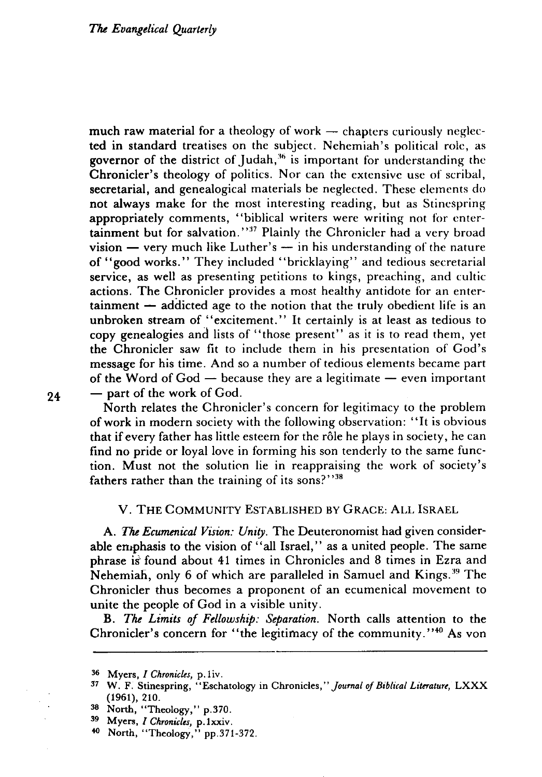much raw material for a theology of work  $-$  chapters curiously neglected in standard treatises on the subject. Nehemiah's political role, as governor of the district of Judah,<sup>36</sup> is important for understanding the Chronicler's theology of politics. Nor can the extensive use of scribal, secretarial, and genealogical materials be neglected. These elements do not always make for the most interesting reading, but as Stinespring appropriately comments, "biblical writers were writing not for entertainment but for salvation.''<sup>37</sup> Plainly the Chronicler had a very broad  $vision - very much like Luther's - in his understanding of the nature$ of "good works." They included "bricklaying" and tedious secretarial service, as well as presenting petitions to kings, preaching, and cultic actions. The Chronicler provides a most healthy antidote for an enter $t_{\text{a}}$  tainment  $-$  addicted age to the notion that the truly obedient life is an unbroken stream of "excitement." It certainly is at least as tedious to copy genealogies and lists of "those present" as it is to read them, yet the Chronicler saw fit to include them in his presentation of God's message for his time. And so a number of tedious elements became part of the Word of  $God - because they are a legitimate - even important$  $24$  - part of the work of God.

North relates the Chronicler's concern for legitimacy to the problem of work in modern society with the following observation: "It is obvious that if every father has little esteem for the rôle he plays in society, he can find no pride or loyal love in forming his son tenderly to the same function. Must not the solution lie in reappraising the work of society's fathers rather than the training of its sons?"<sup>38</sup>

## V. THE COMMUNITY ESTABLISHED BY GRACE: ALL ISRAEL

A. *The Ecumenical Vision: Unity.* The Deuteronomist had given considerable emphasis to the vision of "all Israel," as a united people. The same phrase is' found about 41 times in Chronicles and 8 times in Ezra and Nehemiah, only 6 of which are paralleled in Samuel and Kings.<sup>39</sup> The Chronicler thus becomes a proponent of an ecumenical movement to unite the people of God in a visible unity.

B. *The Limits of Fellowship: Separation.* North calls attention to the Chronicler's concern for "the legitimacy of the community."40 As von

<sup>36</sup> Myers, *I Chronicles*, p.1iv.

<sup>37</sup>W. F. Stinespring, "Eschatology in Chronicles," *Journal of Biblical Literature,* LXXX (1961), 210.

<sup>38</sup> North, "Theology," p.370.

<sup>39</sup> Myers, *I Chronicles,* p.1xxiv.

<sup>40</sup> North, "Theology," pp.371-372.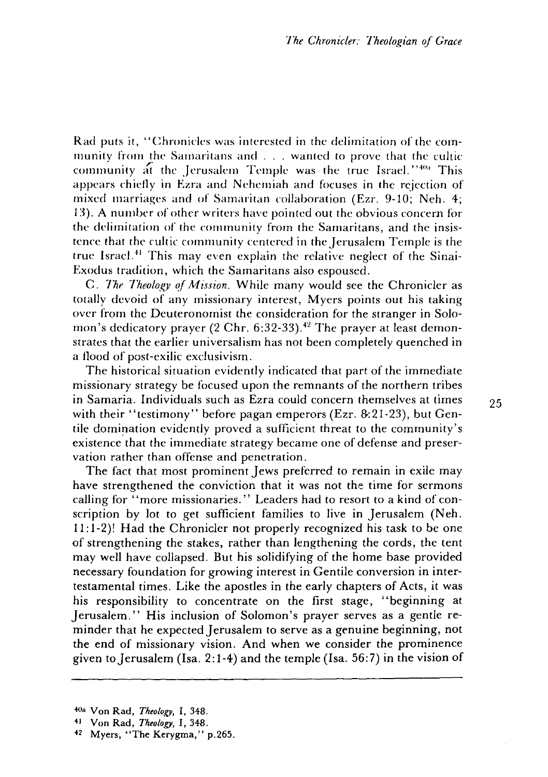Rad puts it, "Chronicles was interested in the delimitation of the community from the Samaritans and ... wanted to prove that the cultic community at the Jerusalem Temple was the true Israel."<sup>40</sup> This appears chiefly in Ezra and Nehemiah and focuses in the rejection of mixed marriages and of Samaritan collaboration (Ezr. 9-10; Neh. 4; 13). A number of other writers have pointed out the obvious concern for the delimitation of the community from the Samaritans, and the insistence that the cultic community centered in the Jerusalem Temple is the true Israel.<sup>41</sup> This may even explain the relative neglect of the Sinai-Exodus tradition, which the Samaritans also espoused.

C. *Tht' Theology of Mission.* While many would see the Chronicler as totally devoid of any missionary interest, Myers points out his taking over from the Deuteronomist the consideration for the stranger in Solomon's dedicatory prayer  $(2 \text{ Chr. } 6:32-33).$ <sup>42</sup> The prayer at least demonstrates that the earlier universalism has not been completely quenched in a flood of post-exilic exclusivism.

The historical situation evidently indicated that part of the immediate missionary strategy be focused upon the remnants of the northern tribes in Samaria. Individuals such as Ezra could concern themselves at times with their "testimony" before pagan emperors (Ezr. 8:21-23), but Gentile domination evidently proved a sufficient threat to the community's existence that the immediate strategy became one of defense and preservation rather than offense and penetration.

The fact that most prominent Jews preferred to remain in exile may have strengthened the conviction that it was not the time for sermons calling for "more missionaries." Leaders had to resort to a kind of conscription by lot to get sufficient families to live in Jerusalem (Neh. 11: 1-2)! Had the Chronicler not properly recognized his task to be one of strengthening the stakes, rather than lengthening the cords, the tent may well have collapsed. But his solidifying of the home base provided necessary foundation for growing interest in Gentile conversion in intertestamental times. Like the apostles in the early chapters of Acts, it was his responsibility to concentrate on the first stage, "beginning at Jerusalem." His inclusion of Solomon's prayer serves as a gentle reminder that he expected Jerusalem to serve as a genuine beginning, not the end of missionary vision. And when we consider the prominence given to Jerusalem (Isa. 2:1-4) and the temple (Isa. 56:7) in the vision of

<sup>40.</sup> Von Rad, *Theology,* 1,348.

<sup>41</sup> Von Rad, *Theology,* I, 348.

<sup>42</sup> Myers, "The Kerygma," p.265.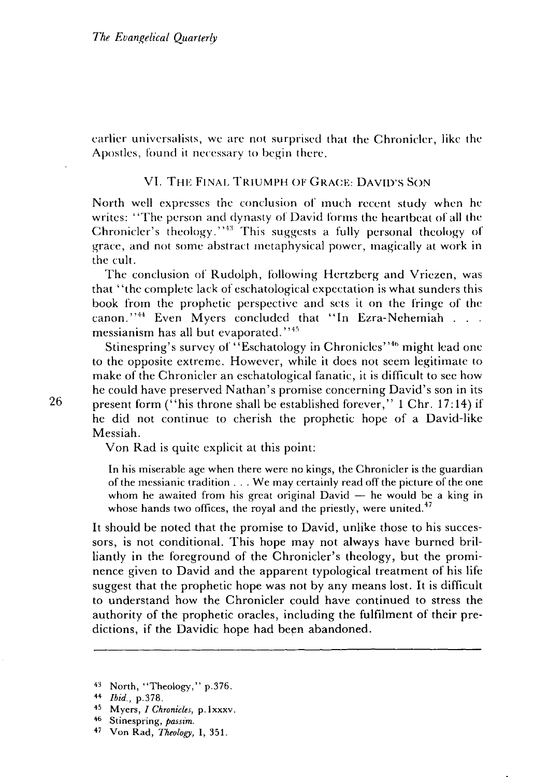earlier universalists, we are not surprised that the Chronicler, like the Apostles, found it necessary to begin there.

#### VI. THE FINAL TRIUMPH OF GRACE: DAVID'S SON

North well expresses the conclusion of much recent study when he writes: "The person and dynasty of David forms the heartbeat of all the Chronicler's theology."<sup>43</sup> This suggests a fully personal theology of grace, and not some abstract metaphysical power, magically at work in the cult.

The conclusion of Rudolph, following Hertzberg and Vriezen, was that' 'the complete lack of eschatological expectation is what sunders this book from the prophetic perspective and sets it on the fringe of the canon."<sup>44</sup> Even Myers concluded that "In Ezra-Nehemiah . . . messianism has all but evaporated.<sup>7745</sup>

Stinespring's survey of "Eschatology in Chronicles"<sup>46</sup> might lead one to the opposite extreme. However, while it does not seem legitimate to make of the Chronicler an eschatological fanatic, it is difficult to see how he could have preserved Nathan's promise concerning David's son in its 26 present form  $\left($ " his throne shall be established forever," 1 Chr. 17:14) if he did not continue to cherish the prophetic hope of a David-Iike Messiah.

Von Rad is quite explicit at this point:

In his miserable age when there were no kings, the Chronicler is the guardian of the messianic tradition ... We may certainly read off the picture of the one whom he awaited from his great original  $David - he$  would be a king in whose hands two offices, the royal and the priestly, were united.<sup>47</sup>

It should be noted that the promise to David, unlike those to his successors, is not conditional. This hope may not always have burned brilliantly in the foreground of the Chronicler's theology, but the prominence given to David and the apparent typological treatment of his life suggest that the prophetic hope was not by any means lost. It is difficult to understand how the Chronicler could have continued to stress the authority of the prophetic oracles, including the fulfilment of their predictions, if the Davidic hope had been abandoned.

<sup>43</sup> North, "Theology," p.376.

<sup>44</sup>*Ibid.,* p.378.

<sup>45</sup> M yers, *I Chronicles,* p. 1 xxxv.

<sup>46</sup> Stinespring, *passim.* 

<sup>47</sup> Von Rad, *Theology,* I, 351.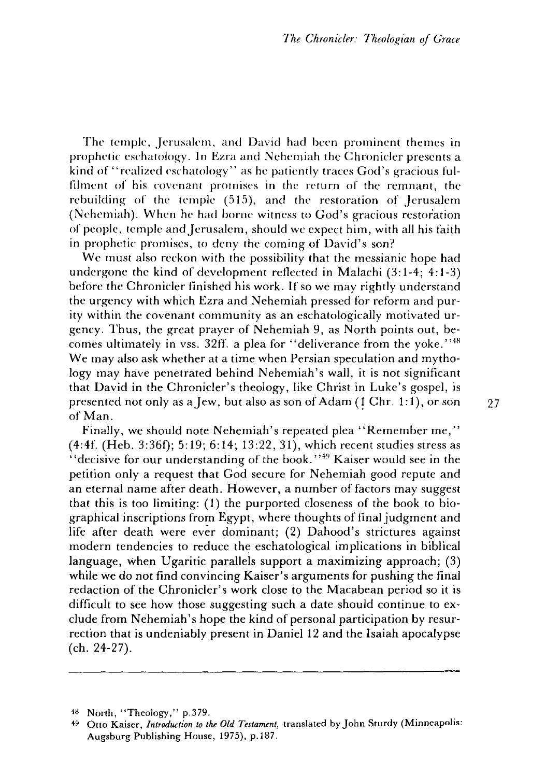The temple, Jerusalem, and David had been prominent themes in prophetic eschatology. In Ezra and Nehemiah *the* Chronicler presents a kind of "realized eschatology" as he patiently traces God's gracious fulfilment of his covenant promises in the return of the remnant, *the*  rebuilding of the temple (515), and the restoration of Jerusalem (Nehemiah). When he had borne witness to God's gracious restoration of people, temple and Jerusalem, should we expect him, with all his faith in prophetic promises, to deny the coming of David's son?

We must also reckon with the possibility that the messianic hope had undergone the kind of development reflected in Malachi (3: 1-4; 4: 1-3) before *the* Chronicler finished his work. If so we may rightly understand the urgency with which Ezra and Nehemiah pressed for reform and purity within the covenant community as an eschatologically motivated urgency. Thus, the great prayer of Nehemiah 9, as North points out, becomes ultimately in vss. 32ff. a plea for "deliverance from the yoke."<sup>48</sup> We may also ask whether at a time when Persian speculation and mythology may have penetrated behind Nehemiah's wall, it is not significant that David in the Chronicler's theology, like Christ in Luke's gospel, is presented not only as a Jew, but also as son of Adam  $(1 \text{ Chr. } 1:1)$ , or son  $27$ of Man. .

Finally, we should note Nehemiah's repeated plea "Remember me," (4:4f. (Heb. 3:36f); 5:19; 6:14; 13:22, 31), which recent studies stress as "decisive for our understanding of the book."<sup>49</sup> Kaiser would see in the petition only a request that God secure for Nehemiah good repute and an eternal name after death. However, a number of factors may suggest that this is too limiting: (1) the purported closeness of the book to biographical inscriptions from Egypt, where thoughts of final judgment and life after death were ever dominant; (2) Dahood's strictures against modern tendencies to reduce the eschatological implications in biblical language, when Ugaritic parallels support a maximizing approach; (3) while we do not find convincing Kaiser's arguments for pushing the final redaction of the Chronicler's work close to the Macabean period so it is difficult to see how those suggesting such a date should continue to exclude from Nehemiah's hope the kind of personal participation by resurrection that is undeniably present in Daniel 12 and the Isaiah apocalypse (ch. 24-27).

<sup>48</sup> North, "Theology," p.379.

<sup>49</sup> Otto Kaiser, *Introduction to the Old Testament,* translated by John Sturdy (Minneapolis: Augsburg Publishing House, 1975), p.1S7.